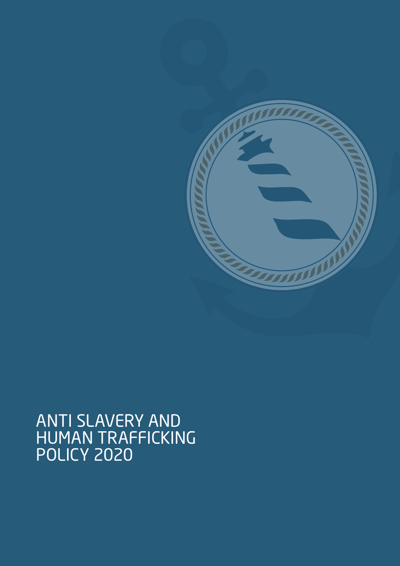

# ANTI SLAVERY AND HUMAN TRAFFICKING POLICY 2020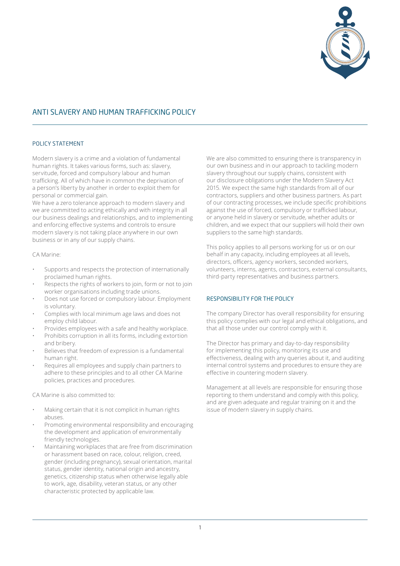

# ANTI SLAVERY AND HUMAN TRAFFICKING POLICY

### POLICY STATEMENT

Modern slavery is a crime and a violation of fundamental human rights. It takes various forms, such as: slavery, servitude, forced and compulsory labour and human trafficking. All of which have in common the deprivation of a person's liberty by another in order to exploit them for personal or commercial gain.

We have a zero tolerance approach to modern slavery and we are committed to acting ethically and with integrity in all our business dealings and relationships, and to implementing and enforcing effective systems and controls to ensure modern slavery is not taking place anywhere in our own business or in any of our supply chains.

#### CA Marine:

- Supports and respects the protection of internationally proclaimed human rights.
- Respects the rights of workers to join, form or not to join worker organisations including trade unions.
- Does not use forced or compulsory labour. Employment is voluntary.
- Complies with local minimum age laws and does not employ child labour.
- Provides employees with a safe and healthy workplace.
- Prohibits corruption in all its forms, including extortion and bribery.
- Believes that freedom of expression is a fundamental human right.
- Requires all employees and supply chain partners to adhere to these principles and to all other CA Marine policies, practices and procedures.

CA Marine is also committed to:

- Making certain that it is not complicit in human rights abuses.
- Promoting environmental responsibility and encouraging the development and application of environmentally friendly technologies.
- Maintaining workplaces that are free from discrimination or harassment based on race, colour, religion, creed, gender (including pregnancy), sexual orientation, marital status, gender identity, national origin and ancestry, genetics, citizenship status when otherwise legally able to work, age, disability, veteran status, or any other characteristic protected by applicable law.

We are also committed to ensuring there is transparency in our own business and in our approach to tackling modern slavery throughout our supply chains, consistent with our disclosure obligations under the Modern Slavery Act 2015. We expect the same high standards from all of our contractors, suppliers and other business partners. As part of our contracting processes, we include specific prohibitions against the use of forced, compulsory or trafficked labour, or anyone held in slavery or servitude, whether adults or children, and we expect that our suppliers will hold their own suppliers to the same high standards.

This policy applies to all persons working for us or on our behalf in any capacity, including employees at all levels, directors, officers, agency workers, seconded workers, volunteers, interns, agents, contractors, external consultants, third-party representatives and business partners.

#### RESPONSIBILITY FOR THE POLICY

The company Director has overall responsibility for ensuring this policy complies with our legal and ethical obligations, and that all those under our control comply with it.

The Director has primary and day-to-day responsibility for implementing this policy, monitoring its use and effectiveness, dealing with any queries about it, and auditing internal control systems and procedures to ensure they are effective in countering modern slavery.

Management at all levels are responsible for ensuring those reporting to them understand and comply with this policy, and are given adequate and regular training on it and the issue of modern slavery in supply chains.